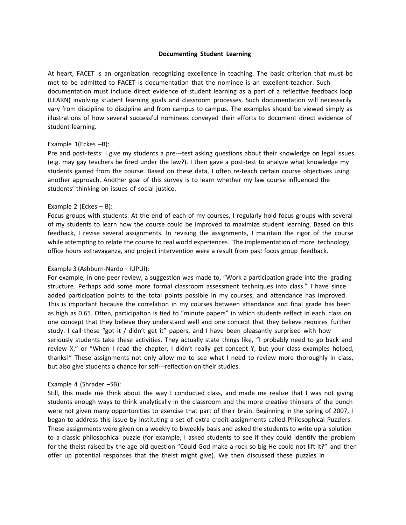### **Documenting Student Learning**

At heart, FACET is an organization recognizing excellence in teaching. The basic criterion that must be met to be admitted to FACET is documentation that the nominee is an excellent teacher. Such documentation must include direct evidence of student learning as a part of a reflective feedback loop (LEARN) involving student learning goals and classroom processes. Such documentation will necessarily vary from discipline to discipline and from campus to campus. The examples should be viewed simply as illustrations of how several successful nominees conveyed their efforts to document direct evidence of student learning.

## Example 1(Eckes –B):

Pre and post-tests: I give my students a pre---test asking questions about their knowledge on legal issues (e.g. may gay teachers be fired under the law?). I then gave a post-test to analyze what knowledge my students gained from the course. Based on these data, I often re-teach certain course objectives using another approach. Another goal of this survey is to learn whether my law course influenced the students' thinking on issues of social justice.

## Example 2 (Eckes  $- B$ ):

Focus groups with students: At the end of each of my courses, I regularly hold focus groups with several of my students to learn how the course could be improved to maximize student learning. Based on this feedback, I revise several assignments. In revising the assignments, I maintain the rigor of the course while attempting to relate the course to real world experiences. The implementation of more technology, office hours extravaganza, and project intervention were a result from past focus group feedback.

#### Example 3 (Ashburn-Nardo – IUPUI):

For example, in one peer review, a suggestion was made to, "Work a participation grade into the grading structure. Perhaps add some more formal classroom assessment techniques into class." I have since added participation points to the total points possible in my courses, and attendance has improved. This is important because the correlation in my courses between attendance and final grade has been as high as 0.65. Often, participation is tied to "minute papers" in which students reflect in each class on one concept that they believe they understand well and one concept that they believe requires further study. I call these "got it / didn't get it" papers, and I have been pleasantly surprised with how seriously students take these activities. They actually state things like, "I probably need to go back and review X," or "When I read the chapter, I didn't really get concept Y, but your class examples helped, thanks!" These assignments not only allow me to see what I need to review more thoroughly in class, but also give students a chance for self---reflection on their studies.

#### Example 4 (Shrader –SB):

Still, this made me think about the way I conducted class, and made me realize that I was not giving students enough ways to think analytically in the classroom and the more creative thinkers of the bunch were not given many opportunities to exercise that part of their brain. Beginning in the spring of 2007, I began to address this issue by instituting a set of extra credit assignments called Philosophical Puzzlers. These assignments were given on a weekly to biweekly basis and asked the students to write up a solution to a classic philosophical puzzle (for example, I asked students to see if they could identify the problem for the theist raised by the age old question "Could God make a rock so big He could not lift it?" and then offer up potential responses that the theist might give). We then discussed these puzzles in